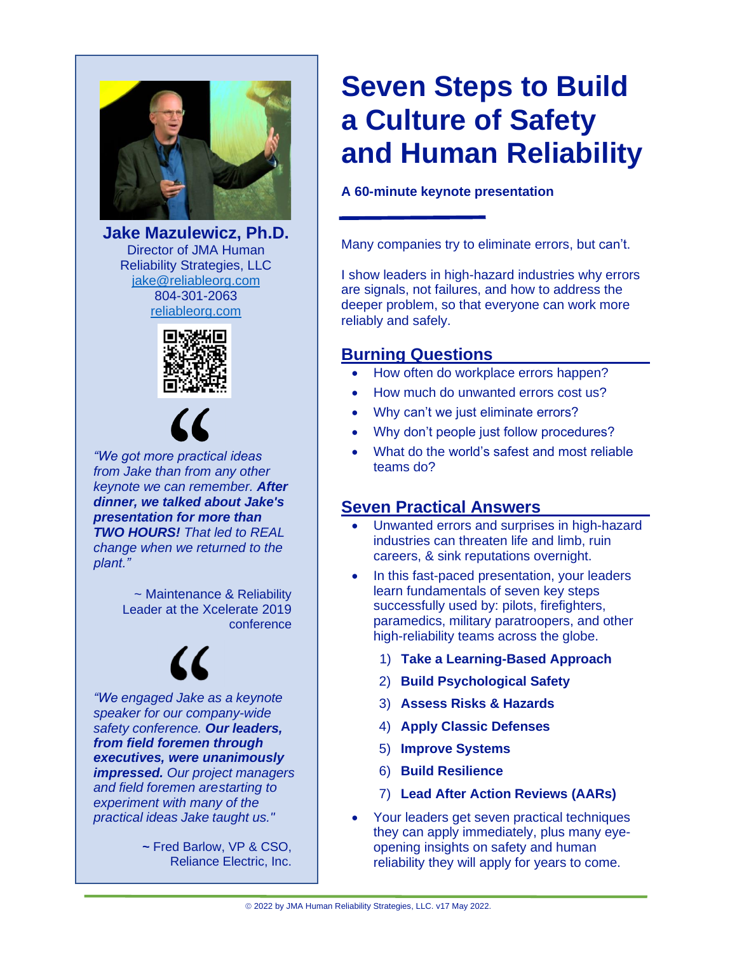

**Jake Mazulewicz, Ph.D.** Director of JMA Human Reliability Strategies, LLC [jake@reliableorg.com](mailto:jake@reliableorg.com) 804-301-2063 [reliableorg.com](http://reliableorg.com/)





*"We got more practical ideas from Jake than from any other keynote we can remember. After dinner, we talked about Jake's presentation for more than TWO HOURS! That led to REAL change when we returned to the plant."*

> ~ Maintenance & Reliability Leader at the Xcelerate 2019 conference

*"We engaged Jake as a keynote speaker for our company-wide safety conference. Our leaders, from field foremen through executives, were unanimously impressed. Our project managers and field foremen arestarting to experiment with many of the practical ideas Jake taught us."*

> **~** Fred Barlow, VP & CSO, Reliance Electric, Inc.

## **Seven Steps to Build a Culture of Safety and Human Reliability**

#### **A 60-minute keynote presentation**

Many companies try to eliminate errors, but can't.

I show leaders in high-hazard industries why errors are signals, not failures, and how to address the deeper problem, so that everyone can work more reliably and safely.

#### **Burning Questions**

- How often do workplace errors happen?
- How much do unwanted errors cost us?
- Why can't we just eliminate errors?
- Why don't people just follow procedures?
- What do the world's safest and most reliable teams do?

#### **Seven Practical Answers**

- Unwanted errors and surprises in high-hazard industries can threaten life and limb, ruin careers, & sink reputations overnight.
- In this fast-paced presentation, your leaders learn fundamentals of seven key steps successfully used by: pilots, firefighters, paramedics, military paratroopers, and other high-reliability teams across the globe.
	- 1) **Take a Learning-Based Approach**
	- 2) **Build Psychological Safety**
	- 3) **Assess Risks & Hazards**
	- 4) **Apply Classic Defenses**
	- 5) **Improve Systems**
	- 6) **Build Resilience**
	- 7) **Lead After Action Reviews (AARs)**
- Your leaders get seven practical techniques they can apply immediately, plus many eyeopening insights on safety and human reliability they will apply for years to come.